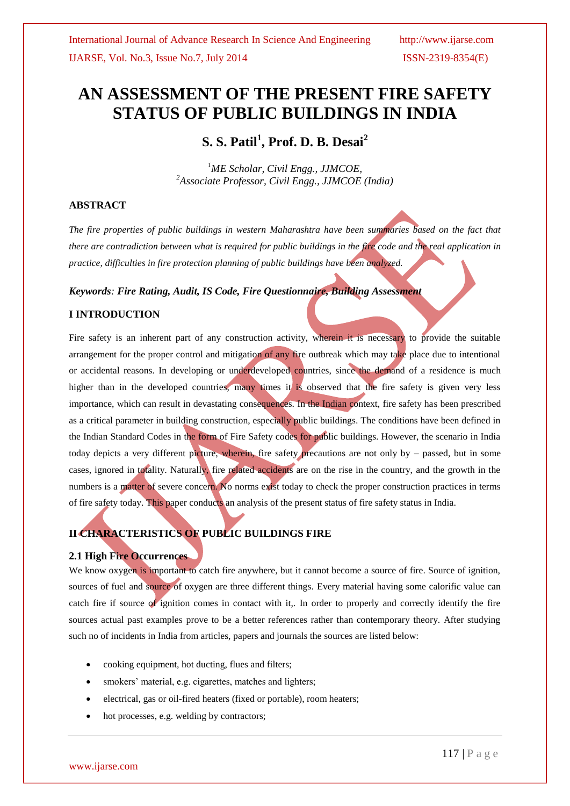# **AN ASSESSMENT OF THE PRESENT FIRE SAFETY STATUS OF PUBLIC BUILDINGS IN INDIA**

**S. S. Patil<sup>1</sup> , Prof. D. B. Desai<sup>2</sup>**

*<sup>1</sup>ME Scholar, Civil Engg., JJMCOE, <sup>2</sup>Associate Professor, Civil Engg., JJMCOE (India)*

## **ABSTRACT**

*The fire properties of public buildings in western Maharashtra have been summaries based on the fact that there are contradiction between what is required for public buildings in the fire code and the real application in practice, difficulties in fire protection planning of public buildings have been analyzed.*

## *Keywords: Fire Rating, Audit, IS Code, Fire Questionnaire, Building Assessment*

## **I INTRODUCTION**

Fire safety is an inherent part of any construction activity, wherein it is necessary to provide the suitable arrangement for the proper control and mitigation of any fire outbreak which may take place due to intentional or accidental reasons. In developing or underdeveloped countries, since the demand of a residence is much higher than in the developed countries, many times it is observed that the fire safety is given very less importance, which can result in devastating consequences. In the Indian context, fire safety has been prescribed as a critical parameter in building construction, especially public buildings. The conditions have been defined in the Indian Standard Codes in the form of Fire Safety codes for public buildings. However, the scenario in India today depicts a very different picture, wherein, fire safety precautions are not only by – passed, but in some cases, ignored in totality. Naturally, fire related accidents are on the rise in the country, and the growth in the numbers is a matter of severe concern. No norms exist today to check the proper construction practices in terms of fire safety today. This paper conducts an analysis of the present status of fire safety status in India.

## **II CHARACTERISTICS OF PUBLIC BUILDINGS FIRE**

## **2.1 High Fire Occurrences**

We know oxygen is important to catch fire anywhere, but it cannot become a source of fire. Source of ignition, sources of fuel and source of oxygen are three different things. Every material having some calorific value can catch fire if source of ignition comes in contact with it,. In order to properly and correctly identify the fire sources actual past examples prove to be a better references rather than contemporary theory. After studying such no of incidents in India from articles, papers and journals the sources are listed below:

- cooking equipment, hot ducting, flues and filters;
- smokers' material, e.g. cigarettes, matches and lighters;
- electrical, gas or oil-fired heaters (fixed or portable), room heaters;
- hot processes, e.g. welding by contractors;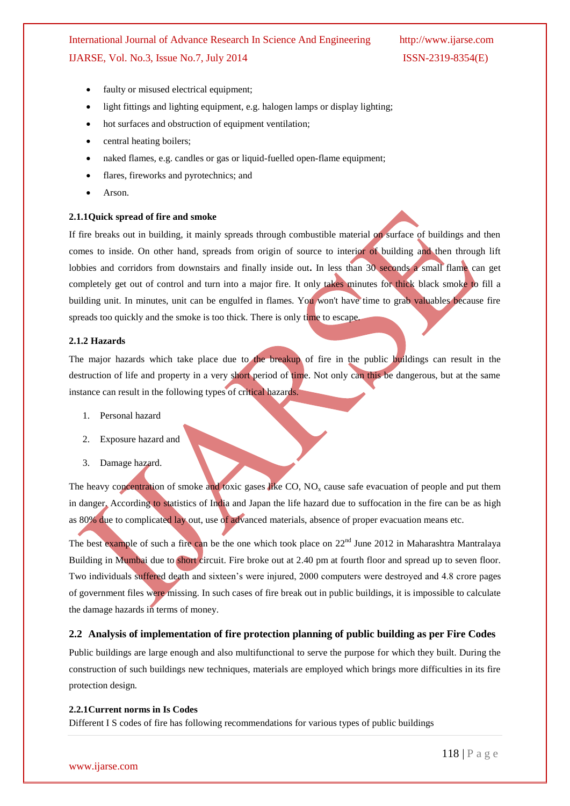- faulty or misused electrical equipment;
- light fittings and lighting equipment, e.g. halogen lamps or display lighting;
- hot surfaces and obstruction of equipment ventilation;
- central heating boilers;
- naked flames, e.g. candles or gas or liquid-fuelled open-flame equipment;
- flares, fireworks and pyrotechnics; and
- Arson.

#### **2.1.1Quick spread of fire and smoke**

If fire breaks out in building, it mainly spreads through combustible material on surface of buildings and then comes to inside. On other hand, spreads from origin of source to interior of building and then through lift lobbies and corridors from downstairs and finally inside out**.** In less than 30 seconds a small flame can get completely get out of control and turn into a major fire. It only takes minutes for thick black smoke to fill a building unit. In minutes, unit can be engulfed in flames. You won't have time to grab valuables because fire spreads too quickly and the smoke is too thick. There is only time to escape.

## **2.1.2 Hazards**

The major hazards which take place due to the breakup of fire in the public buildings can result in the destruction of life and property in a very short period of time. Not only can this be dangerous, but at the same instance can result in the following types of critical hazards.

- 1. Personal hazard
- 2. Exposure hazard and
- 3. Damage hazard.

The heavy concentration of smoke and toxic gases like  $CO$ ,  $NO<sub>x</sub>$  cause safe evacuation of people and put them in danger. According to statistics of India and Japan the life hazard due to suffocation in the fire can be as high as 80% due to complicated lay out, use of advanced materials, absence of proper evacuation means etc.

The best example of such a fire can be the one which took place on 22<sup>nd</sup> June 2012 in Maharashtra Mantralaya Building in Mumbai due to short circuit. Fire broke out at 2.40 pm at fourth floor and spread up to seven floor. Two individuals suffered death and sixteen"s were injured, 2000 computers were destroyed and 4.8 crore pages of government files were missing. In such cases of fire break out in public buildings, it is impossible to calculate the damage hazards in terms of money.

#### **2.2 Analysis of implementation of fire protection planning of public building as per Fire Codes**

Public buildings are large enough and also multifunctional to serve the purpose for which they built. During the construction of such buildings new techniques, materials are employed which brings more difficulties in its fire protection design*.*

#### **2.2.1Current norms in Is Codes**

Different I S codes of fire has following recommendations for various types of public buildings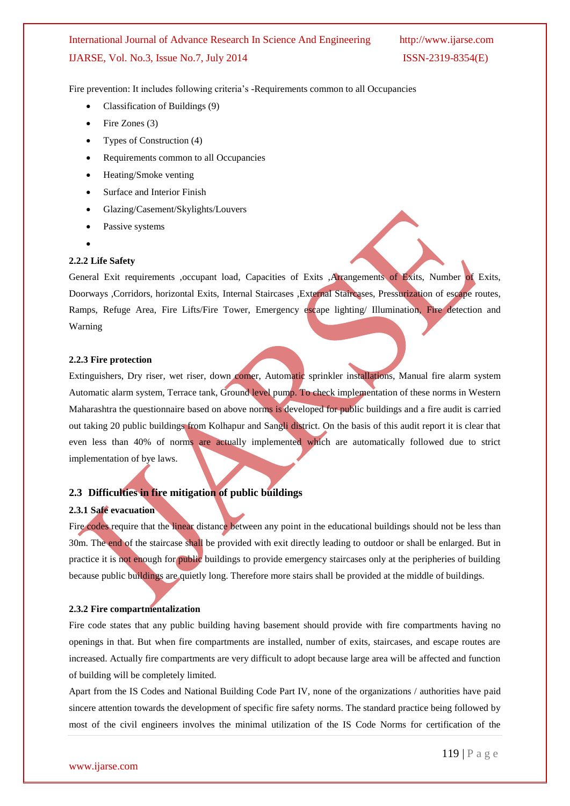Fire prevention: It includes following criteria's -Requirements common to all Occupancies

- Classification of Buildings (9)
- Fire Zones (3)
- Types of Construction (4)
- Requirements common to all Occupancies
- Heating/Smoke venting
- Surface and Interior Finish
- Glazing/Casement/Skylights/Louvers
- Passive systems
- $\bullet$

## **2.2.2 Life Safety**

General Exit requirements , occupant load, Capacities of Exits , Arrangements of Exits, Number of Exits, Doorways ,Corridors, horizontal Exits, Internal Staircases ,External Staircases, Pressurization of escape routes, Ramps, Refuge Area, Fire Lifts/Fire Tower, Emergency escape lighting/ Illumination, Fire detection and Warning

## **2.2.3 Fire protection**

Extinguishers, Dry riser, wet riser, down comer, Automatic sprinkler installations, Manual fire alarm system Automatic alarm system, Terrace tank, Ground level pump. To check implementation of these norms in Western Maharashtra the questionnaire based on above norms is developed for public buildings and a fire audit is carried out taking 20 public buildings from Kolhapur and Sangli district. On the basis of this audit report it is clear that even less than 40% of norms are actually implemented which are automatically followed due to strict implementation of bye laws.

## **2.3 Difficulties in fire mitigation of public buildings**

## **2.3.1 Safe evacuation**

Fire codes require that the linear distance between any point in the educational buildings should not be less than 30m. The end of the staircase shall be provided with exit directly leading to outdoor or shall be enlarged. But in practice it is not enough for public buildings to provide emergency staircases only at the peripheries of building because public buildings are quietly long. Therefore more stairs shall be provided at the middle of buildings.

## **2.3.2 Fire compartmentalization**

Fire code states that any public building having basement should provide with fire compartments having no openings in that. But when fire compartments are installed, number of exits, staircases, and escape routes are increased. Actually fire compartments are very difficult to adopt because large area will be affected and function of building will be completely limited.

Apart from the IS Codes and National Building Code Part IV, none of the organizations / authorities have paid sincere attention towards the development of specific fire safety norms. The standard practice being followed by most of the civil engineers involves the minimal utilization of the IS Code Norms for certification of the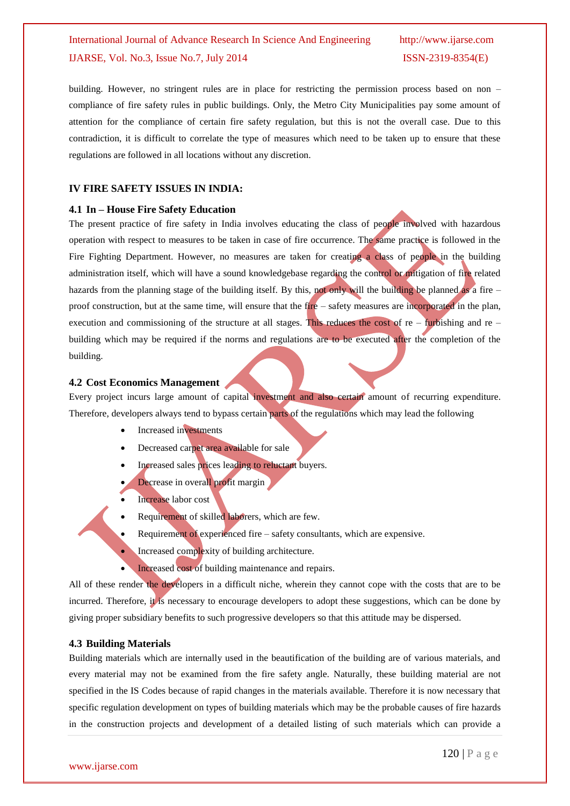building. However, no stringent rules are in place for restricting the permission process based on non – compliance of fire safety rules in public buildings. Only, the Metro City Municipalities pay some amount of attention for the compliance of certain fire safety regulation, but this is not the overall case. Due to this contradiction, it is difficult to correlate the type of measures which need to be taken up to ensure that these regulations are followed in all locations without any discretion.

## **IV FIRE SAFETY ISSUES IN INDIA:**

#### **4.1 In – House Fire Safety Education**

The present practice of fire safety in India involves educating the class of people involved with hazardous operation with respect to measures to be taken in case of fire occurrence. The same practice is followed in the Fire Fighting Department. However, no measures are taken for creating a class of people in the building administration itself, which will have a sound knowledgebase regarding the control or mitigation of fire related hazards from the planning stage of the building itself. By this, not only will the building be planned as a fire  $$ proof construction, but at the same time, will ensure that the fire – safety measures are incorporated in the plan, execution and commissioning of the structure at all stages. This reduces the cost of  $re - f$ urbishing and  $re - f$ building which may be required if the norms and regulations are to be executed after the completion of the building.

## **4.2 Cost Economics Management**

Every project incurs large amount of capital investment and also certain amount of recurring expenditure. Therefore, developers always tend to bypass certain parts of the regulations which may lead the following

- Increased investments
- Decreased carpet area available for sale
- Increased sales prices leading to reluctant buyers.
- Decrease in overall profit margin
- Increase labor cost
- Requirement of skilled laborers, which are few.
- Requirement of experienced fire safety consultants, which are expensive.
- Increased complexity of building architecture.
- Increased cost of building maintenance and repairs.

All of these render the developers in a difficult niche, wherein they cannot cope with the costs that are to be incurred. Therefore, it is necessary to encourage developers to adopt these suggestions, which can be done by giving proper subsidiary benefits to such progressive developers so that this attitude may be dispersed.

## **4.3 Building Materials**

Building materials which are internally used in the beautification of the building are of various materials, and every material may not be examined from the fire safety angle. Naturally, these building material are not specified in the IS Codes because of rapid changes in the materials available. Therefore it is now necessary that specific regulation development on types of building materials which may be the probable causes of fire hazards in the construction projects and development of a detailed listing of such materials which can provide a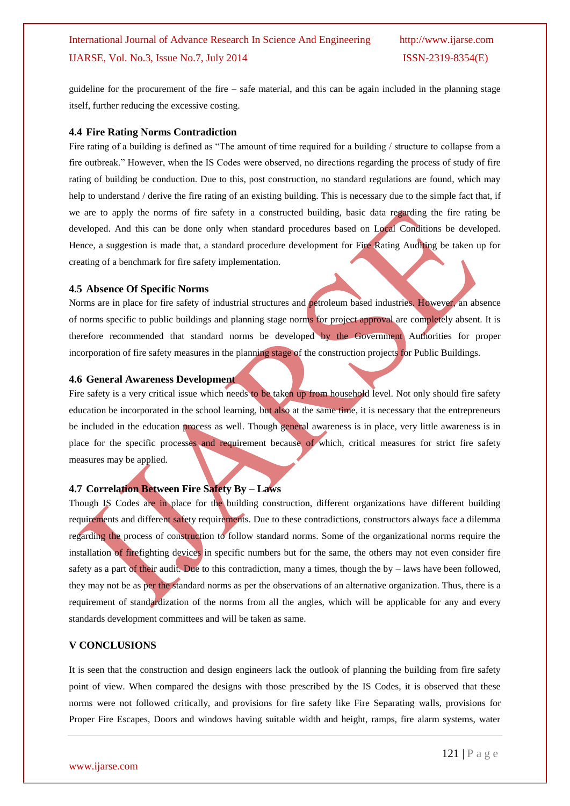guideline for the procurement of the fire – safe material, and this can be again included in the planning stage itself, further reducing the excessive costing.

## **4.4 Fire Rating Norms Contradiction**

Fire rating of a building is defined as "The amount of time required for a building / structure to collapse from a fire outbreak." However, when the IS Codes were observed, no directions regarding the process of study of fire rating of building be conduction. Due to this, post construction, no standard regulations are found, which may help to understand / derive the fire rating of an existing building. This is necessary due to the simple fact that, if we are to apply the norms of fire safety in a constructed building, basic data regarding the fire rating be developed. And this can be done only when standard procedures based on Local Conditions be developed. Hence, a suggestion is made that, a standard procedure development for Fire Rating Auditing be taken up for creating of a benchmark for fire safety implementation.

## **4.5 Absence Of Specific Norms**

Norms are in place for fire safety of industrial structures and petroleum based industries. However, an absence of norms specific to public buildings and planning stage norms for project approval are completely absent. It is therefore recommended that standard norms be developed by the Government Authorities for proper incorporation of fire safety measures in the planning stage of the construction projects for Public Buildings.

## **4.6 General Awareness Development**

Fire safety is a very critical issue which needs to be taken up from household level. Not only should fire safety education be incorporated in the school learning, but also at the same time, it is necessary that the entrepreneurs be included in the education process as well. Though general awareness is in place, very little awareness is in place for the specific processes and requirement because of which, critical measures for strict fire safety measures may be applied.

## **4.7 Correlation Between Fire Safety By – Laws**

Though IS Codes are in place for the building construction, different organizations have different building requirements and different safety requirements. Due to these contradictions, constructors always face a dilemma regarding the process of construction to follow standard norms. Some of the organizational norms require the installation of firefighting devices in specific numbers but for the same, the others may not even consider fire safety as a part of their audit. Due to this contradiction, many a times, though the by – laws have been followed, they may not be as per the standard norms as per the observations of an alternative organization. Thus, there is a requirement of standardization of the norms from all the angles, which will be applicable for any and every standards development committees and will be taken as same.

## **V CONCLUSIONS**

It is seen that the construction and design engineers lack the outlook of planning the building from fire safety point of view. When compared the designs with those prescribed by the IS Codes, it is observed that these norms were not followed critically, and provisions for fire safety like Fire Separating walls, provisions for Proper Fire Escapes, Doors and windows having suitable width and height, ramps, fire alarm systems, water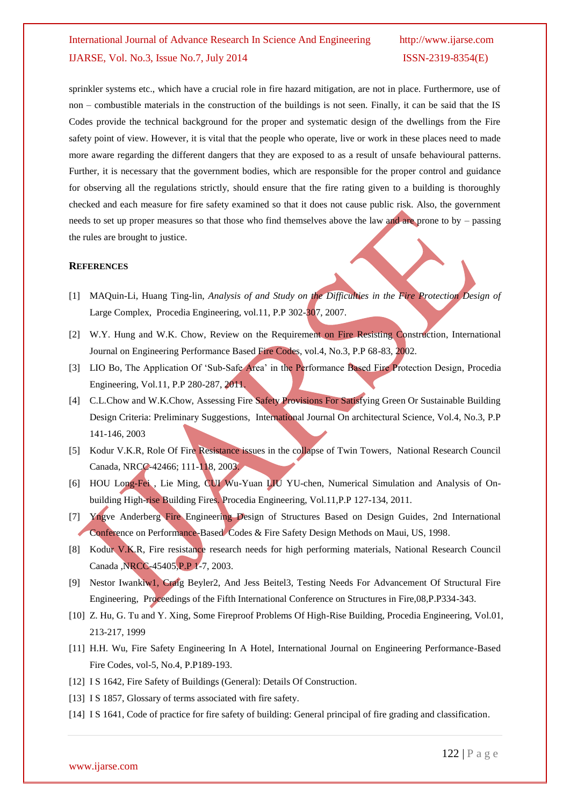sprinkler systems etc., which have a crucial role in fire hazard mitigation, are not in place. Furthermore, use of non – combustible materials in the construction of the buildings is not seen. Finally, it can be said that the IS Codes provide the technical background for the proper and systematic design of the dwellings from the Fire safety point of view. However, it is vital that the people who operate, live or work in these places need to made more aware regarding the different dangers that they are exposed to as a result of unsafe behavioural patterns. Further, it is necessary that the government bodies, which are responsible for the proper control and guidance for observing all the regulations strictly, should ensure that the fire rating given to a building is thoroughly checked and each measure for fire safety examined so that it does not cause public risk. Also, the government needs to set up proper measures so that those who find themselves above the law and are prone to by – passing the rules are brought to justice.

#### **REFERENCES**

- [1] MAQuin-Li, Huang Ting-lin, *Analysis of and Study on the Difficulties in the Fire Protection Design of* Large Complex, Procedia Engineering, vol.11, P.P 302-307, 2007.
- [2] W.Y. Hung and W.K. Chow, Review on the Requirement on Fire Resisting Construction, International Journal on Engineering Performance Based Fire Codes, vol.4, No.3, P.P 68-83, 2002.
- [3] LIO Bo, The Application Of 'Sub-Safe Area' in the Performance Based Fire Protection Design, Procedia Engineering, Vol.11, P.P 280-287, 2011.
- [4] C.L.Chow and W.K.Chow, Assessing Fire Safety Provisions For Satisfying Green Or Sustainable Building Design Criteria: Preliminary Suggestions, International Journal On architectural Science, Vol.4, No.3, P.P 141-146, 2003
- [5] Kodur V.K.R, Role Of Fire Resistance issues in the collapse of Twin Towers, National Research Council Canada, NRCC-42466; 111-118, 2003.
- [6] HOU Long-Fei , Lie Ming, CUI Wu-Yuan LIU YU-chen, Numerical Simulation and Analysis of Onbuilding High-rise Building Fires. Procedia Engineering, Vol.11,P.P 127-134, 2011.
- [7] Yngve Anderberg Fire Engineering Design of Structures Based on Design Guides, 2nd International Conference on Performance-Based Codes & Fire Safety Design Methods on Maui, US, 1998.
- [8] Kodur V.K.R, Fire resistance research needs for high performing materials, National Research Council Canada ,NRCC-45405,P.P 1-7, 2003.
- [9] Nestor Iwankiw1, Craig Beyler2, And Jess Beitel3, Testing Needs For Advancement Of Structural Fire Engineering, Proceedings of the Fifth International Conference on Structures in Fire,08,P.P334-343.
- [10] Z. Hu, G. Tu and Y. Xing, Some Fireproof Problems Of High-Rise Building, Procedia Engineering, Vol.01, 213-217, 1999
- [11] H.H. Wu, Fire Safety Engineering In A Hotel, International Journal on Engineering Performance-Based Fire Codes, vol-5, No.4, P.P189-193.
- [12] I S 1642, Fire Safety of Buildings (General): Details Of Construction.
- [13] I S 1857, Glossary of terms associated with fire safety.
- [14] I S 1641, Code of practice for fire safety of building: General principal of fire grading and classification.